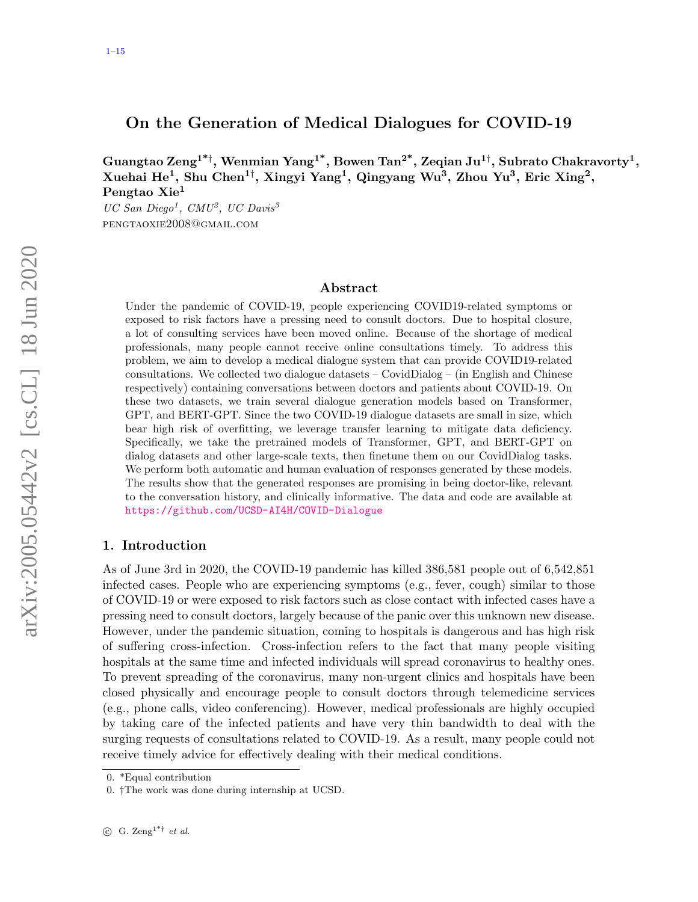# <span id="page-0-0"></span>On the Generation of Medical Dialogues for COVID-19

Guangtao Zeng $^{1^* \dagger},$  Wenmian  $\mathrm{Yang}^{1^*},$  Bowen Tan $^{2^*},$  Zeqian Ju $^{1\dagger},$  Subrato Chakravorty $^1,$ Xuehai He<sup>1</sup>, Shu Chen<sup>1†</sup>, Xingyi Yang<sup>1</sup>, Qingyang Wu<sup>3</sup>, Zhou Yu<sup>3</sup>, Eric Xing<sup>2</sup>, Pengtao Xie<sup>1</sup>

 $UC San Diego<sup>1</sup>, CMU<sup>2</sup>, UC Davis<sup>3</sup>$ pengtaoxie2008@gmail.com

### Abstract

Under the pandemic of COVID-19, people experiencing COVID19-related symptoms or exposed to risk factors have a pressing need to consult doctors. Due to hospital closure, a lot of consulting services have been moved online. Because of the shortage of medical professionals, many people cannot receive online consultations timely. To address this problem, we aim to develop a medical dialogue system that can provide COVID19-related consultations. We collected two dialogue datasets – CovidDialog – (in English and Chinese respectively) containing conversations between doctors and patients about COVID-19. On these two datasets, we train several dialogue generation models based on Transformer, GPT, and BERT-GPT. Since the two COVID-19 dialogue datasets are small in size, which bear high risk of overfitting, we leverage transfer learning to mitigate data deficiency. Specifically, we take the pretrained models of Transformer, GPT, and BERT-GPT on dialog datasets and other large-scale texts, then finetune them on our CovidDialog tasks. We perform both automatic and human evaluation of responses generated by these models. The results show that the generated responses are promising in being doctor-like, relevant to the conversation history, and clinically informative. The data and code are available at <https://github.com/UCSD-AI4H/COVID-Dialogue>

## 1. Introduction

As of June 3rd in 2020, the COVID-19 pandemic has killed 386,581 people out of 6,542,851 infected cases. People who are experiencing symptoms (e.g., fever, cough) similar to those of COVID-19 or were exposed to risk factors such as close contact with infected cases have a pressing need to consult doctors, largely because of the panic over this unknown new disease. However, under the pandemic situation, coming to hospitals is dangerous and has high risk of suffering cross-infection. Cross-infection refers to the fact that many people visiting hospitals at the same time and infected individuals will spread coronavirus to healthy ones. To prevent spreading of the coronavirus, many non-urgent clinics and hospitals have been closed physically and encourage people to consult doctors through telemedicine services (e.g., phone calls, video conferencing). However, medical professionals are highly occupied by taking care of the infected patients and have very thin bandwidth to deal with the surging requests of consultations related to COVID-19. As a result, many people could not receive timely advice for effectively dealing with their medical conditions.

<sup>0. \*</sup>Equal contribution

<sup>0.</sup> †The work was done during internship at UCSD.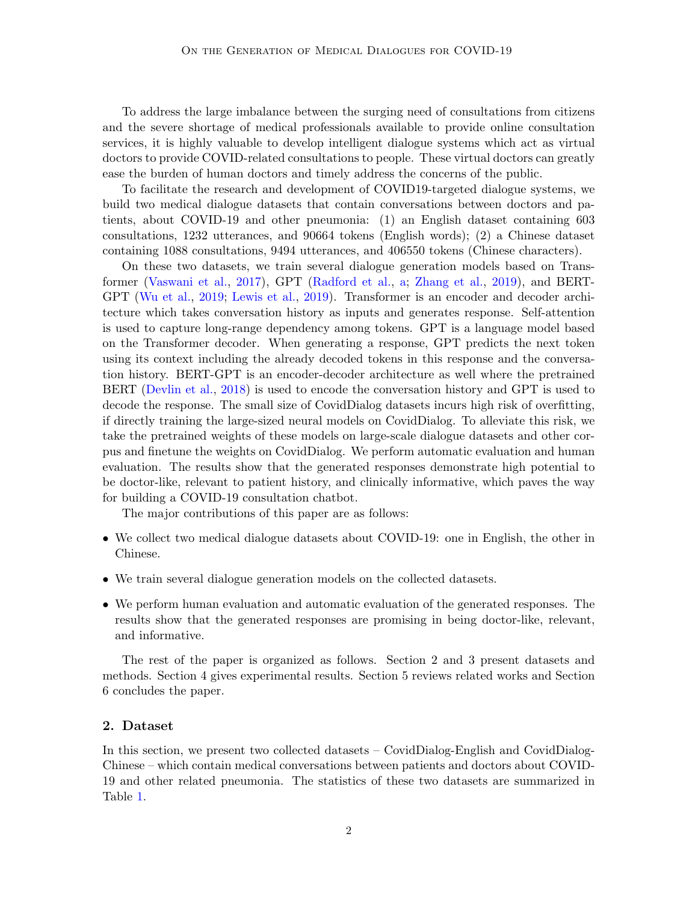To address the large imbalance between the surging need of consultations from citizens and the severe shortage of medical professionals available to provide online consultation services, it is highly valuable to develop intelligent dialogue systems which act as virtual doctors to provide COVID-related consultations to people. These virtual doctors can greatly ease the burden of human doctors and timely address the concerns of the public.

To facilitate the research and development of COVID19-targeted dialogue systems, we build two medical dialogue datasets that contain conversations between doctors and patients, about COVID-19 and other pneumonia: (1) an English dataset containing 603 consultations, 1232 utterances, and 90664 tokens (English words); (2) a Chinese dataset containing 1088 consultations, 9494 utterances, and 406550 tokens (Chinese characters).

On these two datasets, we train several dialogue generation models based on Transformer [\(Vaswani et al.,](#page-14-1) [2017\)](#page-14-1), GPT [\(Radford et al.,](#page-13-0) [a;](#page-13-0) [Zhang et al.,](#page-14-2) [2019\)](#page-14-2), and BERT-GPT [\(Wu et al.,](#page-14-3) [2019;](#page-14-3) [Lewis et al.,](#page-12-0) [2019\)](#page-12-0). Transformer is an encoder and decoder architecture which takes conversation history as inputs and generates response. Self-attention is used to capture long-range dependency among tokens. GPT is a language model based on the Transformer decoder. When generating a response, GPT predicts the next token using its context including the already decoded tokens in this response and the conversation history. BERT-GPT is an encoder-decoder architecture as well where the pretrained BERT [\(Devlin et al.,](#page-12-1) [2018\)](#page-12-1) is used to encode the conversation history and GPT is used to decode the response. The small size of CovidDialog datasets incurs high risk of overfitting, if directly training the large-sized neural models on CovidDialog. To alleviate this risk, we take the pretrained weights of these models on large-scale dialogue datasets and other corpus and finetune the weights on CovidDialog. We perform automatic evaluation and human evaluation. The results show that the generated responses demonstrate high potential to be doctor-like, relevant to patient history, and clinically informative, which paves the way for building a COVID-19 consultation chatbot.

The major contributions of this paper are as follows:

- We collect two medical dialogue datasets about COVID-19: one in English, the other in Chinese.
- We train several dialogue generation models on the collected datasets.
- We perform human evaluation and automatic evaluation of the generated responses. The results show that the generated responses are promising in being doctor-like, relevant, and informative.

The rest of the paper is organized as follows. Section 2 and 3 present datasets and methods. Section 4 gives experimental results. Section 5 reviews related works and Section 6 concludes the paper.

## 2. Dataset

In this section, we present two collected datasets – CovidDialog-English and CovidDialog-Chinese – which contain medical conversations between patients and doctors about COVID-19 and other related pneumonia. The statistics of these two datasets are summarized in Table [1.](#page-2-0)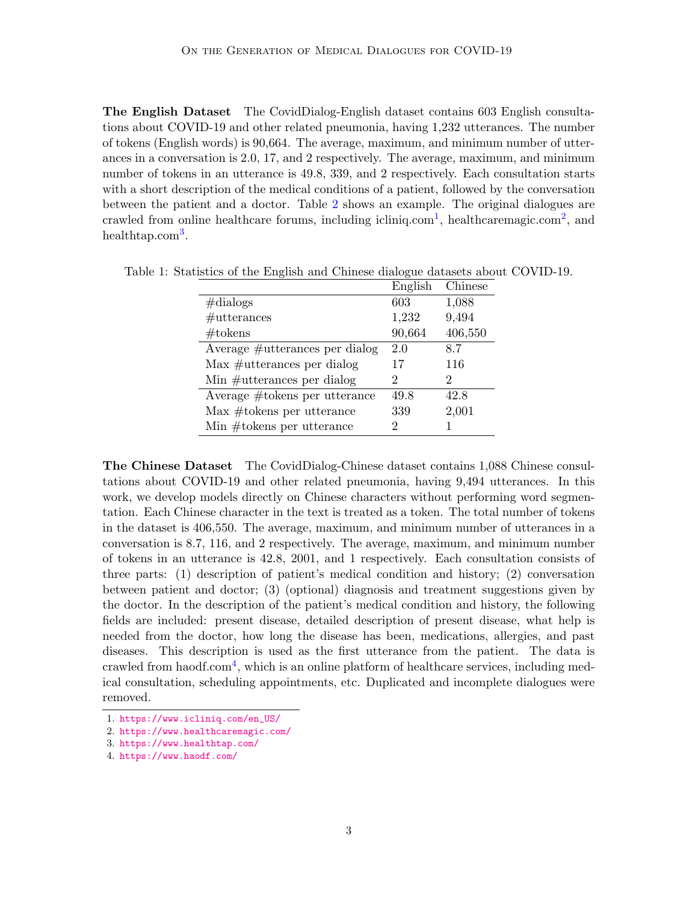The English Dataset The CovidDialog-English dataset contains 603 English consultations about COVID-19 and other related pneumonia, having 1,232 utterances. The number of tokens (English words) is 90,664. The average, maximum, and minimum number of utterances in a conversation is 2.0, 17, and 2 respectively. The average, maximum, and minimum number of tokens in an utterance is 49.8, 339, and 2 respectively. Each consultation starts with a short description of the medical conditions of a patient, followed by the conversation between the patient and a doctor. Table [2](#page-3-0) shows an example. The original dialogues are crawled from online healthcare forums, including icliniq.com<sup>[1](#page-2-1)</sup>, healthcaremagic.com<sup>[2](#page-2-2)</sup>, and healthtap.com<sup>[3](#page-2-3)</sup>.

<span id="page-2-0"></span>

|                                | English | Chinese |
|--------------------------------|---------|---------|
| $\#$ dialogs                   | 603     | 1,088   |
| #utterances                    | 1,232   | 9,494   |
| $\#$ tokens                    | 90,664  | 406,550 |
| Average #utterances per dialog | 2.0     | 8.7     |
| $Max$ #utterances per dialog   | 17      | 116     |
| Min $#$ utterances per dialog  | 2       | 2       |
| Average #tokens per utterance  | 49.8    | 42.8    |
| $Max$ #tokens per utterance    | 339     | 2,001   |
| Min $\#$ tokens per utterance  | 2       |         |

Table 1: Statistics of the English and Chinese dialogue datasets about COVID-19.

The Chinese Dataset The CovidDialog-Chinese dataset contains 1,088 Chinese consultations about COVID-19 and other related pneumonia, having 9,494 utterances. In this work, we develop models directly on Chinese characters without performing word segmentation. Each Chinese character in the text is treated as a token. The total number of tokens in the dataset is 406,550. The average, maximum, and minimum number of utterances in a conversation is 8.7, 116, and 2 respectively. The average, maximum, and minimum number of tokens in an utterance is 42.8, 2001, and 1 respectively. Each consultation consists of three parts: (1) description of patient's medical condition and history; (2) conversation between patient and doctor; (3) (optional) diagnosis and treatment suggestions given by the doctor. In the description of the patient's medical condition and history, the following fields are included: present disease, detailed description of present disease, what help is needed from the doctor, how long the disease has been, medications, allergies, and past diseases. This description is used as the first utterance from the patient. The data is crawled from haodf.com<sup>[4](#page-2-4)</sup>, which is an online platform of healthcare services, including medical consultation, scheduling appointments, etc. Duplicated and incomplete dialogues were removed.

<span id="page-2-1"></span><sup>1.</sup> [https://www.icliniq.com/en\\_US/](https://www.icliniq.com/en_US/)

<span id="page-2-2"></span><sup>2.</sup> <https://www.healthcaremagic.com/>

<span id="page-2-3"></span><sup>3.</sup> <https://www.healthtap.com/>

<span id="page-2-4"></span><sup>4.</sup> <https://www.haodf.com/>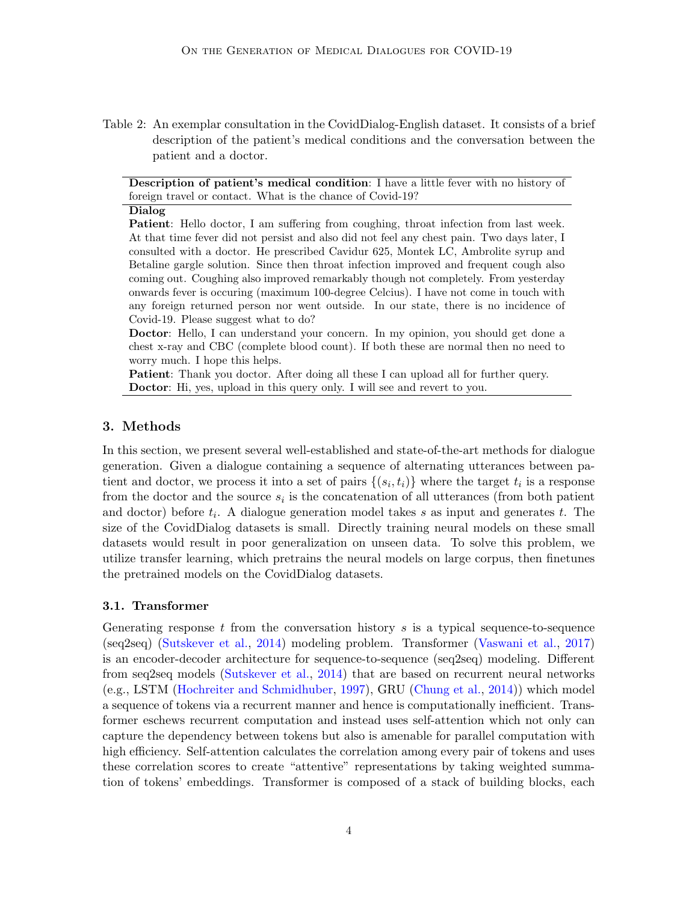<span id="page-3-0"></span>Table 2: An exemplar consultation in the CovidDialog-English dataset. It consists of a brief description of the patient's medical conditions and the conversation between the patient and a doctor.

Description of patient's medical condition: I have a little fever with no history of foreign travel or contact. What is the chance of Covid-19?

#### Dialog

Patient: Hello doctor, I am suffering from coughing, throat infection from last week. At that time fever did not persist and also did not feel any chest pain. Two days later, I consulted with a doctor. He prescribed Cavidur 625, Montek LC, Ambrolite syrup and Betaline gargle solution. Since then throat infection improved and frequent cough also coming out. Coughing also improved remarkably though not completely. From yesterday onwards fever is occuring (maximum 100-degree Celcius). I have not come in touch with any foreign returned person nor went outside. In our state, there is no incidence of Covid-19. Please suggest what to do?

Doctor: Hello, I can understand your concern. In my opinion, you should get done a chest x-ray and CBC (complete blood count). If both these are normal then no need to worry much. I hope this helps.

Patient: Thank you doctor. After doing all these I can upload all for further query. Doctor: Hi, yes, upload in this query only. I will see and revert to you.

### 3. Methods

In this section, we present several well-established and state-of-the-art methods for dialogue generation. Given a dialogue containing a sequence of alternating utterances between patient and doctor, we process it into a set of pairs  $\{(s_i, t_i)\}\$  where the target  $t_i$  is a response from the doctor and the source  $s_i$  is the concatenation of all utterances (from both patient and doctor) before  $t_i$ . A dialogue generation model takes s as input and generates t. The size of the CovidDialog datasets is small. Directly training neural models on these small datasets would result in poor generalization on unseen data. To solve this problem, we utilize transfer learning, which pretrains the neural models on large corpus, then finetunes the pretrained models on the CovidDialog datasets.

#### 3.1. Transformer

Generating response  $t$  from the conversation history  $s$  is a typical sequence-to-sequence (seq2seq) [\(Sutskever et al.,](#page-13-1) [2014\)](#page-13-1) modeling problem. Transformer [\(Vaswani et al.,](#page-14-1) [2017\)](#page-14-1) is an encoder-decoder architecture for sequence-to-sequence (seq2seq) modeling. Different from seq2seq models [\(Sutskever et al.,](#page-13-1) [2014\)](#page-13-1) that are based on recurrent neural networks (e.g., LSTM [\(Hochreiter and Schmidhuber,](#page-12-2) [1997\)](#page-12-2), GRU [\(Chung et al.,](#page-12-3) [2014\)](#page-12-3)) which model a sequence of tokens via a recurrent manner and hence is computationally inefficient. Transformer eschews recurrent computation and instead uses self-attention which not only can capture the dependency between tokens but also is amenable for parallel computation with high efficiency. Self-attention calculates the correlation among every pair of tokens and uses these correlation scores to create "attentive" representations by taking weighted summation of tokens' embeddings. Transformer is composed of a stack of building blocks, each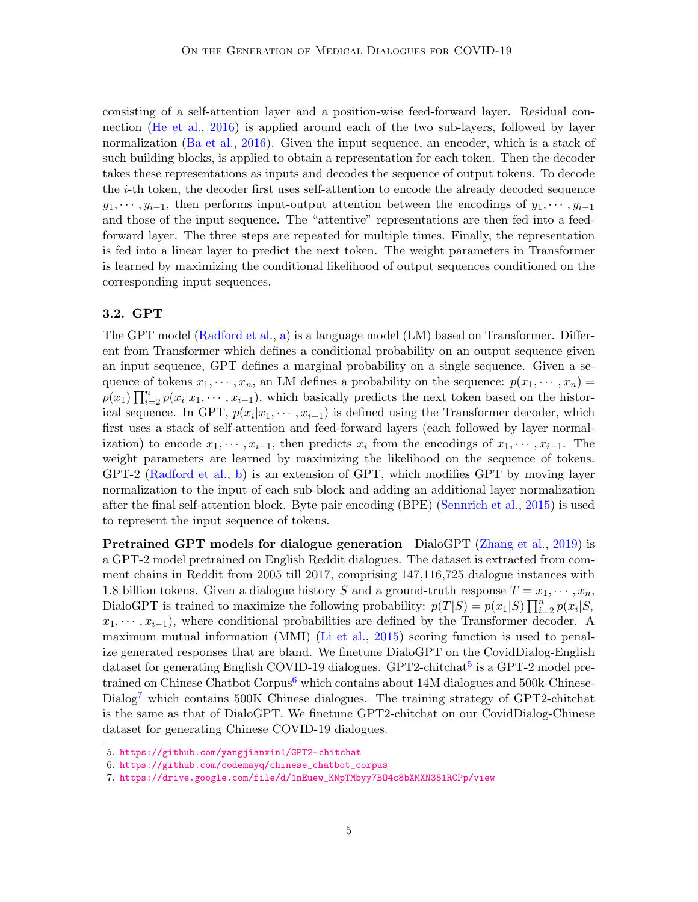consisting of a self-attention layer and a position-wise feed-forward layer. Residual connection [\(He et al.,](#page-12-4) [2016\)](#page-12-4) is applied around each of the two sub-layers, followed by layer normalization [\(Ba et al.,](#page-11-0) [2016\)](#page-11-0). Given the input sequence, an encoder, which is a stack of such building blocks, is applied to obtain a representation for each token. Then the decoder takes these representations as inputs and decodes the sequence of output tokens. To decode the i-th token, the decoder first uses self-attention to encode the already decoded sequence  $y_1, \dots, y_{i-1}$ , then performs input-output attention between the encodings of  $y_1, \dots, y_{i-1}$ and those of the input sequence. The "attentive" representations are then fed into a feedforward layer. The three steps are repeated for multiple times. Finally, the representation is fed into a linear layer to predict the next token. The weight parameters in Transformer is learned by maximizing the conditional likelihood of output sequences conditioned on the corresponding input sequences.

## 3.2. GPT

The GPT model [\(Radford et al.,](#page-13-0) [a\)](#page-13-0) is a language model (LM) based on Transformer. Different from Transformer which defines a conditional probability on an output sequence given an input sequence, GPT defines a marginal probability on a single sequence. Given a sequence of tokens  $x_1, \dots, x_n$ , an LM defines a probability on the sequence:  $p(x_1, \dots, x_n)$  $p(x_1) \prod_{i=2}^n p(x_i | x_1, \dots, x_{i-1})$ , which basically predicts the next token based on the historical sequence. In GPT,  $p(x_i|x_1, \dots, x_{i-1})$  is defined using the Transformer decoder, which first uses a stack of self-attention and feed-forward layers (each followed by layer normalization) to encode  $x_1, \dots, x_{i-1}$ , then predicts  $x_i$  from the encodings of  $x_1, \dots, x_{i-1}$ . The weight parameters are learned by maximizing the likelihood on the sequence of tokens. GPT-2 [\(Radford et al.,](#page-13-2) [b\)](#page-13-2) is an extension of GPT, which modifies GPT by moving layer normalization to the input of each sub-block and adding an additional layer normalization after the final self-attention block. Byte pair encoding (BPE) [\(Sennrich et al.,](#page-13-3) [2015\)](#page-13-3) is used to represent the input sequence of tokens.

Pretrained GPT models for dialogue generation DialoGPT [\(Zhang et al.,](#page-14-2) [2019\)](#page-14-2) is a GPT-2 model pretrained on English Reddit dialogues. The dataset is extracted from comment chains in Reddit from 2005 till 2017, comprising 147,116,725 dialogue instances with 1.8 billion tokens. Given a dialogue history S and a ground-truth response  $T = x_1, \dots, x_n$ , DialoGPT is trained to maximize the following probability:  $p(T|S) = p(x_1|S) \prod_{i=2}^n p(x_i|S)$ ,  $x_1, \dots, x_{i-1}$ , where conditional probabilities are defined by the Transformer decoder. A maximum mutual information (MMI) [\(Li et al.,](#page-13-4) [2015\)](#page-13-4) scoring function is used to penalize generated responses that are bland. We finetune DialoGPT on the CovidDialog-English dataset for generating English COVID-19 dialogues. GPT2-chitchat<sup>[5](#page-4-0)</sup> is a GPT-2 model pre-trained on Chinese Chatbot Corpus<sup>[6](#page-4-1)</sup> which contains about 14M dialogues and 500k-Chinese- $Dialog<sup>7</sup>$  $Dialog<sup>7</sup>$  $Dialog<sup>7</sup>$  which contains 500K Chinese dialogues. The training strategy of GPT2-chitchat is the same as that of DialoGPT. We finetune GPT2-chitchat on our CovidDialog-Chinese dataset for generating Chinese COVID-19 dialogues.

<span id="page-4-0"></span><sup>5.</sup> <https://github.com/yangjianxin1/GPT2-chitchat>

<span id="page-4-1"></span><sup>6.</sup> [https://github.com/codemayq/chinese\\_chatbot\\_corpus](https://github.com/codemayq/chinese_chatbot_corpus)

<span id="page-4-2"></span><sup>7.</sup> [https://drive.google.com/file/d/1nEuew\\_KNpTMbyy7BO4c8bXMXN351RCPp/view](https://drive.google.com/file/d/1nEuew_KNpTMbyy7BO4c8bXMXN351RCPp/view)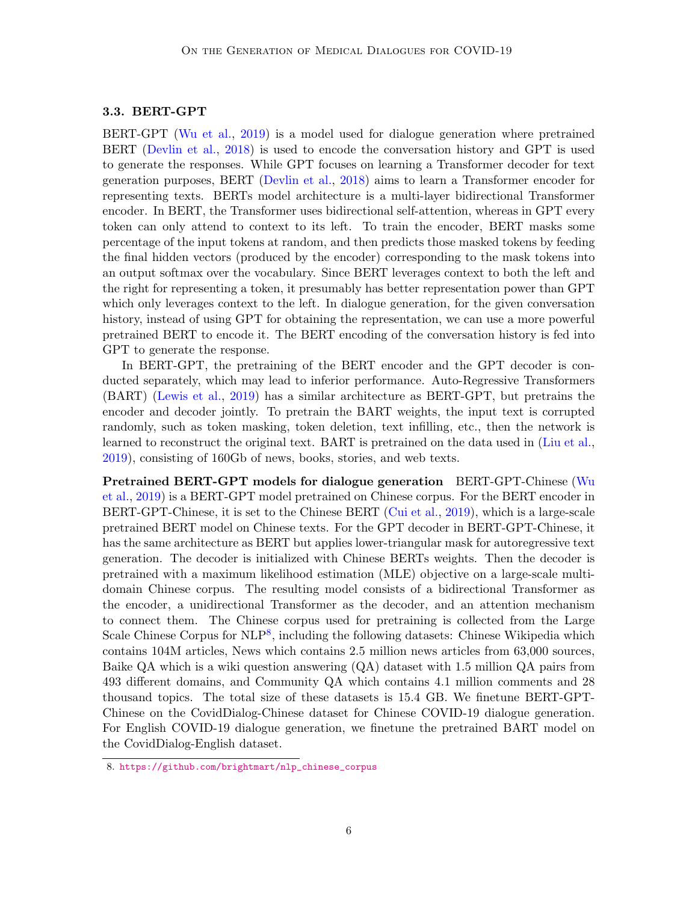## 3.3. BERT-GPT

BERT-GPT [\(Wu et al.,](#page-14-3) [2019\)](#page-14-3) is a model used for dialogue generation where pretrained BERT [\(Devlin et al.,](#page-12-1) [2018\)](#page-12-1) is used to encode the conversation history and GPT is used to generate the responses. While GPT focuses on learning a Transformer decoder for text generation purposes, BERT [\(Devlin et al.,](#page-12-1) [2018\)](#page-12-1) aims to learn a Transformer encoder for representing texts. BERTs model architecture is a multi-layer bidirectional Transformer encoder. In BERT, the Transformer uses bidirectional self-attention, whereas in GPT every token can only attend to context to its left. To train the encoder, BERT masks some percentage of the input tokens at random, and then predicts those masked tokens by feeding the final hidden vectors (produced by the encoder) corresponding to the mask tokens into an output softmax over the vocabulary. Since BERT leverages context to both the left and the right for representing a token, it presumably has better representation power than GPT which only leverages context to the left. In dialogue generation, for the given conversation history, instead of using GPT for obtaining the representation, we can use a more powerful pretrained BERT to encode it. The BERT encoding of the conversation history is fed into GPT to generate the response.

In BERT-GPT, the pretraining of the BERT encoder and the GPT decoder is conducted separately, which may lead to inferior performance. Auto-Regressive Transformers (BART) [\(Lewis et al.,](#page-12-0) [2019\)](#page-12-0) has a similar architecture as BERT-GPT, but pretrains the encoder and decoder jointly. To pretrain the BART weights, the input text is corrupted randomly, such as token masking, token deletion, text infilling, etc., then the network is learned to reconstruct the original text. BART is pretrained on the data used in [\(Liu et al.,](#page-13-5) [2019\)](#page-13-5), consisting of 160Gb of news, books, stories, and web texts.

Pretrained BERT-GPT models for dialogue generation BERT-GPT-Chinese [\(Wu](#page-14-3) [et al.,](#page-14-3) [2019\)](#page-14-3) is a BERT-GPT model pretrained on Chinese corpus. For the BERT encoder in BERT-GPT-Chinese, it is set to the Chinese BERT [\(Cui et al.,](#page-12-5) [2019\)](#page-12-5), which is a large-scale pretrained BERT model on Chinese texts. For the GPT decoder in BERT-GPT-Chinese, it has the same architecture as BERT but applies lower-triangular mask for autoregressive text generation. The decoder is initialized with Chinese BERTs weights. Then the decoder is pretrained with a maximum likelihood estimation (MLE) objective on a large-scale multidomain Chinese corpus. The resulting model consists of a bidirectional Transformer as the encoder, a unidirectional Transformer as the decoder, and an attention mechanism to connect them. The Chinese corpus used for pretraining is collected from the Large Scale Chinese Corpus for NLP<sup>[8](#page-5-0)</sup>, including the following datasets: Chinese Wikipedia which contains 104M articles, News which contains 2.5 million news articles from 63,000 sources, Baike QA which is a wiki question answering (QA) dataset with 1.5 million QA pairs from 493 different domains, and Community QA which contains 4.1 million comments and 28 thousand topics. The total size of these datasets is 15.4 GB. We finetune BERT-GPT-Chinese on the CovidDialog-Chinese dataset for Chinese COVID-19 dialogue generation. For English COVID-19 dialogue generation, we finetune the pretrained BART model on the CovidDialog-English dataset.

<span id="page-5-0"></span><sup>8.</sup> [https://github.com/brightmart/nlp\\_chinese\\_corpus](https://github.com/brightmart/nlp_chinese_corpus)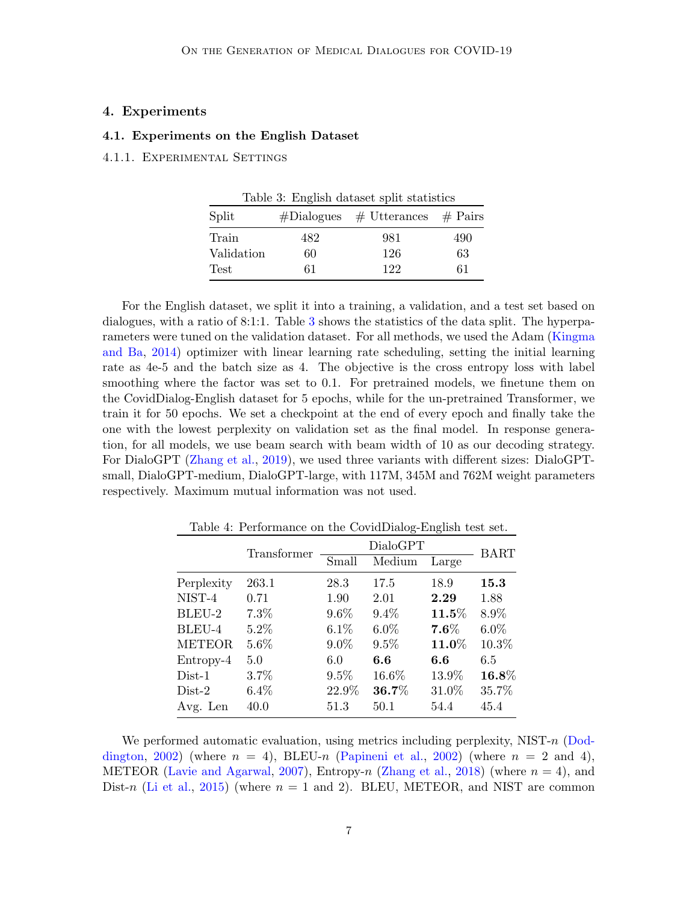### 4. Experiments

### 4.1. Experiments on the English Dataset

#### 4.1.1. Experimental Settings

<span id="page-6-0"></span>

|             |     | Table 3: English dataset split statistics |     |
|-------------|-----|-------------------------------------------|-----|
| Split       |     | $\#Dialogues$ $\#$ Utterances $\#$ Pairs  |     |
| Train       | 482 | 981                                       | 490 |
| Validation  | 60  | 126                                       | 63  |
| <b>Test</b> | 61  | 122                                       | 61  |

For the English dataset, we split it into a training, a validation, and a test set based on dialogues, with a ratio of 8:1:1. Table [3](#page-6-0) shows the statistics of the data split. The hyperparameters were tuned on the validation dataset. For all methods, we used the Adam [\(Kingma](#page-12-6) [and Ba,](#page-12-6) [2014\)](#page-12-6) optimizer with linear learning rate scheduling, setting the initial learning rate as 4e-5 and the batch size as 4. The objective is the cross entropy loss with label smoothing where the factor was set to 0.1. For pretrained models, we finetune them on the CovidDialog-English dataset for 5 epochs, while for the un-pretrained Transformer, we train it for 50 epochs. We set a checkpoint at the end of every epoch and finally take the one with the lowest perplexity on validation set as the final model. In response generation, for all models, we use beam search with beam width of 10 as our decoding strategy. For DialoGPT [\(Zhang et al.,](#page-14-2) [2019\)](#page-14-2), we used three variants with different sizes: DialoGPTsmall, DialoGPT-medium, DialoGPT-large, with 117M, 345M and 762M weight parameters respectively. Maximum mutual information was not used.

<span id="page-6-1"></span>

| Table 4: Performance on the CovidDialog-English test set. |             |          |         |                       |         |  |
|-----------------------------------------------------------|-------------|----------|---------|-----------------------|---------|--|
|                                                           | Transformer | DialoGPT |         |                       | BART    |  |
|                                                           |             | Small    | Medium  | Large                 |         |  |
| Perplexity                                                | 263.1       | 28.3     | 17.5    | 18.9                  | 15.3    |  |
| NIST-4                                                    | 0.71        | 1.90     | 2.01    | 2.29                  | 1.88    |  |
| BLEU-2                                                    | 7.3%        | $9.6\%$  | $9.4\%$ | $\boldsymbol{11.5\%}$ | 8.9%    |  |
| BLEU-4                                                    | $5.2\%$     | 6.1%     | $6.0\%$ | $7.6\%$               | $6.0\%$ |  |
| <b>METEOR</b>                                             | $5.6\%$     | $9.0\%$  | $9.5\%$ | $11.0\%$              | 10.3%   |  |
| Entropy-4                                                 | 5.0         | 6.0      | 6.6     | 6.6                   | 6.5     |  |
| $Dist-1$                                                  | 3.7%        | 9.5%     | 16.6%   | 13.9%                 | 16.8%   |  |
| $Dist-2$                                                  | $6.4\%$     | 22.9%    | 36.7%   | 31.0%                 | 35.7%   |  |
| Avg. Len                                                  | 40.0        | 51.3     | 50.1    | 54.4                  | 45.4    |  |

We performed automatic evaluation, using metrics including perplexity,  $NIST-n$  [\(Dod](#page-12-7)[dington,](#page-12-7) [2002\)](#page-13-6) (where  $n = 4$ ), BLEU-n [\(Papineni et al.,](#page-13-6) 2002) (where  $n = 2$  and 4), METEOR [\(Lavie and Agarwal,](#page-12-8) [2007\)](#page-12-8), Entropy-n [\(Zhang et al.,](#page-14-4) [2018\)](#page-14-4) (where  $n = 4$ ), and

Dist-n [\(Li et al.,](#page-13-4) [2015\)](#page-13-4) (where  $n = 1$  and 2). BLEU, METEOR, and NIST are common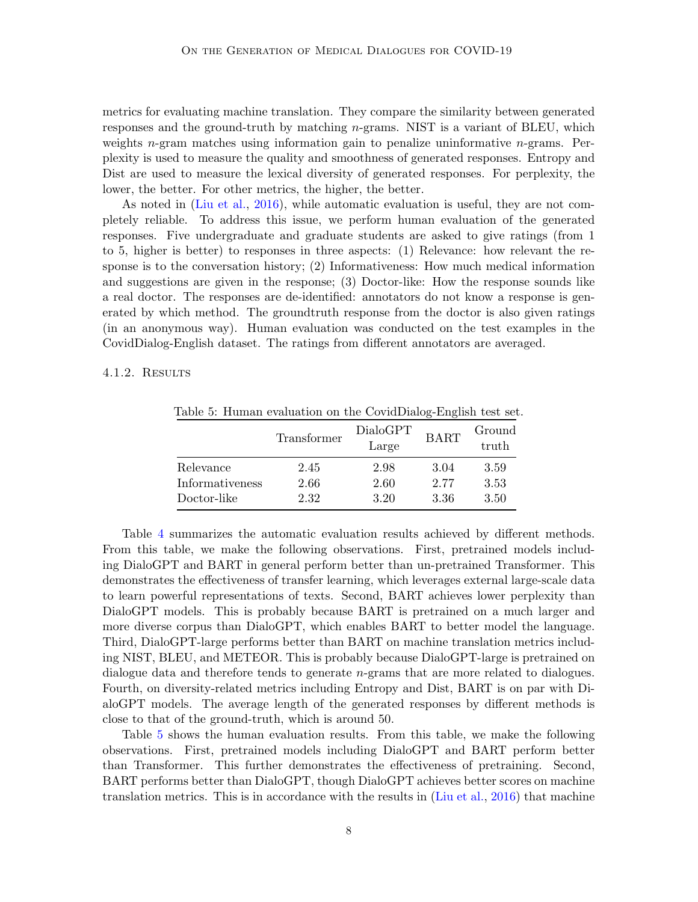metrics for evaluating machine translation. They compare the similarity between generated responses and the ground-truth by matching  $n$ -grams. NIST is a variant of BLEU, which weights  $n$ -gram matches using information gain to penalize uninformative  $n$ -grams. Perplexity is used to measure the quality and smoothness of generated responses. Entropy and Dist are used to measure the lexical diversity of generated responses. For perplexity, the lower, the better. For other metrics, the higher, the better.

As noted in [\(Liu et al.,](#page-13-7) [2016\)](#page-13-7), while automatic evaluation is useful, they are not completely reliable. To address this issue, we perform human evaluation of the generated responses. Five undergraduate and graduate students are asked to give ratings (from 1 to 5, higher is better) to responses in three aspects: (1) Relevance: how relevant the response is to the conversation history; (2) Informativeness: How much medical information and suggestions are given in the response; (3) Doctor-like: How the response sounds like a real doctor. The responses are de-identified: annotators do not know a response is generated by which method. The groundtruth response from the doctor is also given ratings (in an anonymous way). Human evaluation was conducted on the test examples in the CovidDialog-English dataset. The ratings from different annotators are averaged.

#### 4.1.2. RESULTS

<span id="page-7-0"></span>

|                 | Transformer | DialoGPT<br>Large | <b>BART</b> | Ground<br>truth |
|-----------------|-------------|-------------------|-------------|-----------------|
| Relevance       | 2.45        | 2.98              | 3.04        | 3.59            |
| Informativeness | 2.66        | 2.60              | 2.77        | 3.53            |
| Doctor-like     | 2.32        | 3.20              | 3.36        | 3.50            |

Table 5: Human evaluation on the CovidDialog-English test set.

Table [4](#page-6-1) summarizes the automatic evaluation results achieved by different methods. From this table, we make the following observations. First, pretrained models including DialoGPT and BART in general perform better than un-pretrained Transformer. This demonstrates the effectiveness of transfer learning, which leverages external large-scale data to learn powerful representations of texts. Second, BART achieves lower perplexity than DialoGPT models. This is probably because BART is pretrained on a much larger and more diverse corpus than DialoGPT, which enables BART to better model the language. Third, DialoGPT-large performs better than BART on machine translation metrics including NIST, BLEU, and METEOR. This is probably because DialoGPT-large is pretrained on dialogue data and therefore tends to generate n-grams that are more related to dialogues. Fourth, on diversity-related metrics including Entropy and Dist, BART is on par with DialoGPT models. The average length of the generated responses by different methods is close to that of the ground-truth, which is around 50.

Table [5](#page-7-0) shows the human evaluation results. From this table, we make the following observations. First, pretrained models including DialoGPT and BART perform better than Transformer. This further demonstrates the effectiveness of pretraining. Second, BART performs better than DialoGPT, though DialoGPT achieves better scores on machine translation metrics. This is in accordance with the results in [\(Liu et al.,](#page-13-7) [2016\)](#page-13-7) that machine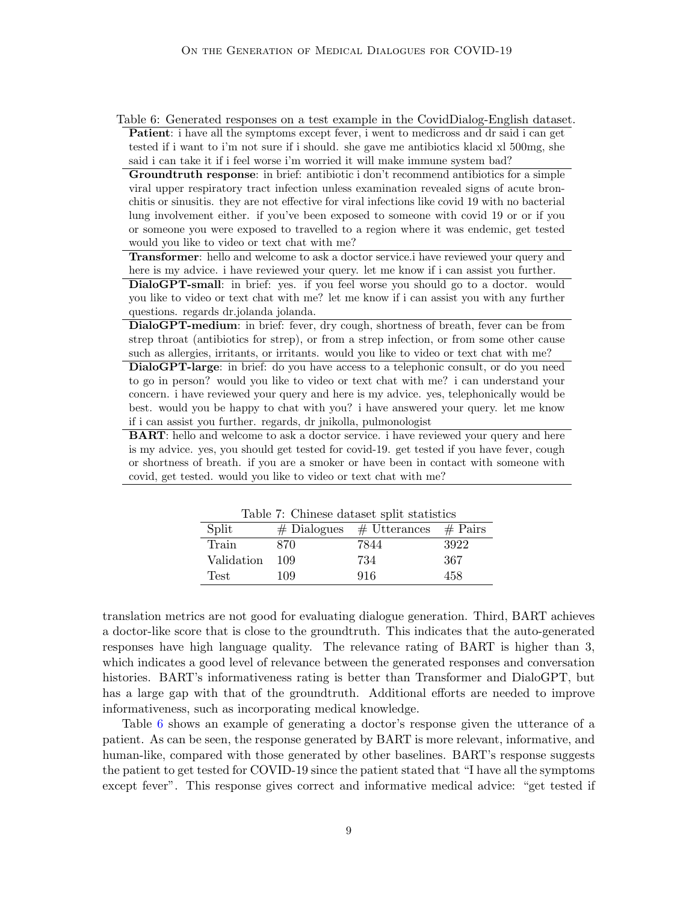<span id="page-8-0"></span>Table 6: Generated responses on a test example in the CovidDialog-English dataset. Patient: i have all the symptoms except fever, i went to medicross and dr said i can get tested if i want to i'm not sure if i should. she gave me antibiotics klacid xl 500mg, she said i can take it if i feel worse i'm worried it will make immune system bad?

Groundtruth response: in brief: antibiotic i don't recommend antibiotics for a simple viral upper respiratory tract infection unless examination revealed signs of acute bronchitis or sinusitis. they are not effective for viral infections like covid 19 with no bacterial lung involvement either. if you've been exposed to someone with covid 19 or or if you or someone you were exposed to travelled to a region where it was endemic, get tested would you like to video or text chat with me?

Transformer: hello and welcome to ask a doctor service.i have reviewed your query and here is my advice. i have reviewed your query. let me know if i can assist you further.

DialoGPT-small: in brief: yes. if you feel worse you should go to a doctor. would you like to video or text chat with me? let me know if i can assist you with any further questions. regards dr.jolanda jolanda.

DialoGPT-medium: in brief: fever, dry cough, shortness of breath, fever can be from strep throat (antibiotics for strep), or from a strep infection, or from some other cause such as allergies, irritants, or irritants. would you like to video or text chat with me?

DialoGPT-large: in brief: do you have access to a telephonic consult, or do you need to go in person? would you like to video or text chat with me? i can understand your concern. i have reviewed your query and here is my advice. yes, telephonically would be best. would you be happy to chat with you? i have answered your query. let me know if i can assist you further. regards, dr jnikolla, pulmonologist

BART: hello and welcome to ask a doctor service. i have reviewed your query and here is my advice. yes, you should get tested for covid-19. get tested if you have fever, cough or shortness of breath. if you are a smoker or have been in contact with someone with covid, get tested. would you like to video or text chat with me?

| Table 7: Chinese dataset split statistics |     |                                           |      |
|-------------------------------------------|-----|-------------------------------------------|------|
| Split                                     |     | $\#$ Dialogues $\#$ Utterances $\#$ Pairs |      |
| Train                                     | 870 | 7844                                      | 3922 |
| Validation                                | 109 | 734                                       | 367  |
| Test                                      | 109 | 916                                       | 458  |

<span id="page-8-1"></span>

translation metrics are not good for evaluating dialogue generation. Third, BART achieves a doctor-like score that is close to the groundtruth. This indicates that the auto-generated responses have high language quality. The relevance rating of BART is higher than 3, which indicates a good level of relevance between the generated responses and conversation histories. BART's informativeness rating is better than Transformer and DialoGPT, but has a large gap with that of the groundtruth. Additional efforts are needed to improve informativeness, such as incorporating medical knowledge.

Table [6](#page-8-0) shows an example of generating a doctor's response given the utterance of a patient. As can be seen, the response generated by BART is more relevant, informative, and human-like, compared with those generated by other baselines. BART's response suggests the patient to get tested for COVID-19 since the patient stated that "I have all the symptoms except fever". This response gives correct and informative medical advice: "get tested if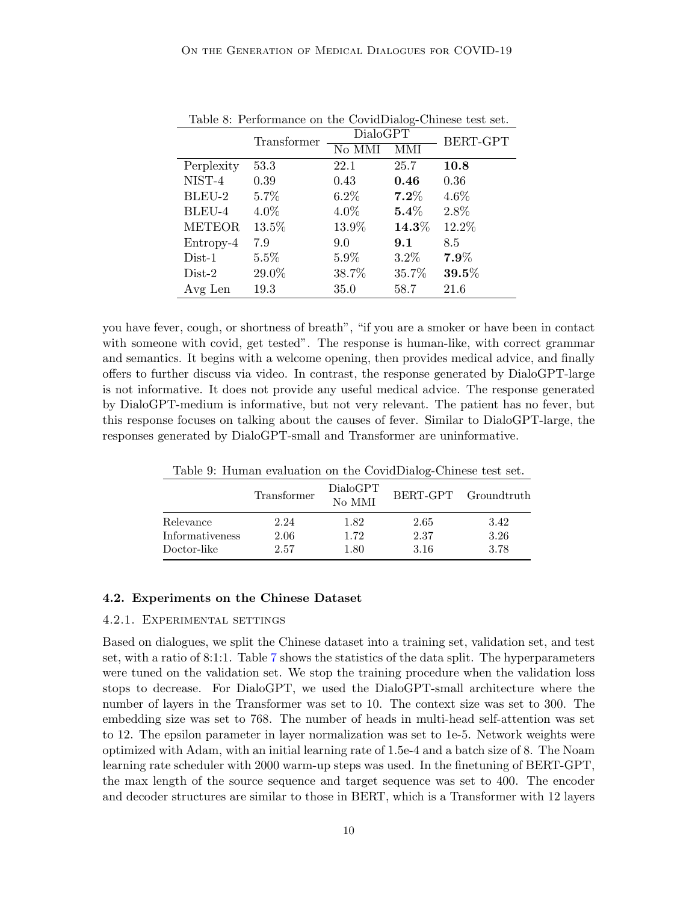|               | Transformer | <b>DialoGPT</b> |                  | BERT-GPT |  |
|---------------|-------------|-----------------|------------------|----------|--|
|               |             | No MMI          | MMI              |          |  |
| Perplexity    | 53.3        | 22.1            | 25.7             | 10.8     |  |
| NIST-4        | 0.39        | 0.43            | 0.46             | 0.36     |  |
| BLEU-2        | 5.7%        | $6.2\%$         | $7.2\%$          | 4.6%     |  |
| BLEU-4        | 4.0%        | 4.0%            | $\mathbf{5.4}\%$ | 2.8%     |  |
| <b>METEOR</b> | 13.5%       | 13.9%           | $14.3\%$         | 12.2%    |  |
| Entropy-4     | 7.9         | 9.0             | 9.1              | 8.5      |  |
| $Dist-1$      | $5.5\%$     | 5.9%            | $3.2\%$          | $7.9\%$  |  |
| $Dist-2$      | 29.0%       | 38.7%           | 35.7%            | $39.5\%$ |  |
| Avg Len       | 19.3        | 35.0            | 58.7             | 21.6     |  |

<span id="page-9-0"></span>Table 8: Performance on the CovidDialog-Chinese test set.

you have fever, cough, or shortness of breath", "if you are a smoker or have been in contact with someone with covid, get tested". The response is human-like, with correct grammar and semantics. It begins with a welcome opening, then provides medical advice, and finally offers to further discuss via video. In contrast, the response generated by DialoGPT-large is not informative. It does not provide any useful medical advice. The response generated by DialoGPT-medium is informative, but not very relevant. The patient has no fever, but this response focuses on talking about the causes of fever. Similar to DialoGPT-large, the responses generated by DialoGPT-small and Transformer are uninformative.

<span id="page-9-1"></span>Table 9: Human evaluation on the CovidDialog-Chinese test set.

|                 | Transformer | DialoGPT<br>No MMI |      | BERT-GPT Groundtruth |
|-----------------|-------------|--------------------|------|----------------------|
| Relevance       | 2.24        | 1.82               | 2.65 | 3.42                 |
| Informativeness | 2.06        | 1.72               | 2.37 | 3.26                 |
| Doctor-like     | 2.57        | 1.80               | 3.16 | 3.78                 |

#### 4.2. Experiments on the Chinese Dataset

#### 4.2.1. Experimental settings

Based on dialogues, we split the Chinese dataset into a training set, validation set, and test set, with a ratio of 8:1:1. Table [7](#page-8-1) shows the statistics of the data split. The hyperparameters were tuned on the validation set. We stop the training procedure when the validation loss stops to decrease. For DialoGPT, we used the DialoGPT-small architecture where the number of layers in the Transformer was set to 10. The context size was set to 300. The embedding size was set to 768. The number of heads in multi-head self-attention was set to 12. The epsilon parameter in layer normalization was set to 1e-5. Network weights were optimized with Adam, with an initial learning rate of 1.5e-4 and a batch size of 8. The Noam learning rate scheduler with 2000 warm-up steps was used. In the finetuning of BERT-GPT, the max length of the source sequence and target sequence was set to 400. The encoder and decoder structures are similar to those in BERT, which is a Transformer with 12 layers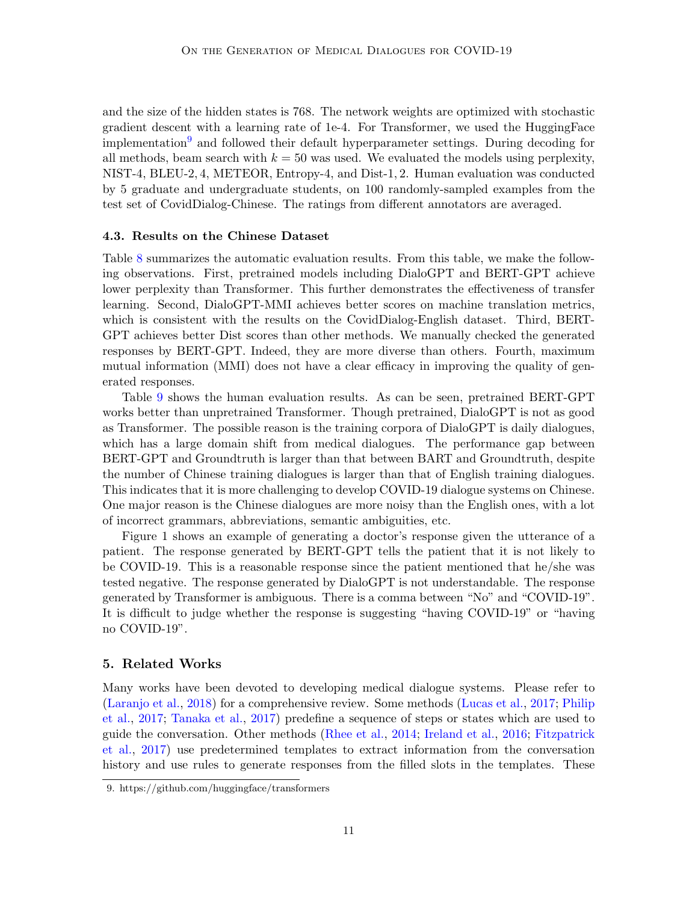and the size of the hidden states is 768. The network weights are optimized with stochastic gradient descent with a learning rate of 1e-4. For Transformer, we used the HuggingFace implementation<sup>[9](#page-10-0)</sup> and followed their default hyperparameter settings. During decoding for all methods, beam search with  $k = 50$  was used. We evaluated the models using perplexity, NIST-4, BLEU-2, 4, METEOR, Entropy-4, and Dist-1, 2. Human evaluation was conducted by 5 graduate and undergraduate students, on 100 randomly-sampled examples from the test set of CovidDialog-Chinese. The ratings from different annotators are averaged.

#### 4.3. Results on the Chinese Dataset

Table [8](#page-9-0) summarizes the automatic evaluation results. From this table, we make the following observations. First, pretrained models including DialoGPT and BERT-GPT achieve lower perplexity than Transformer. This further demonstrates the effectiveness of transfer learning. Second, DialoGPT-MMI achieves better scores on machine translation metrics, which is consistent with the results on the CovidDialog-English dataset. Third, BERT-GPT achieves better Dist scores than other methods. We manually checked the generated responses by BERT-GPT. Indeed, they are more diverse than others. Fourth, maximum mutual information (MMI) does not have a clear efficacy in improving the quality of generated responses.

Table [9](#page-9-1) shows the human evaluation results. As can be seen, pretrained BERT-GPT works better than unpretrained Transformer. Though pretrained, DialoGPT is not as good as Transformer. The possible reason is the training corpora of DialoGPT is daily dialogues, which has a large domain shift from medical dialogues. The performance gap between BERT-GPT and Groundtruth is larger than that between BART and Groundtruth, despite the number of Chinese training dialogues is larger than that of English training dialogues. This indicates that it is more challenging to develop COVID-19 dialogue systems on Chinese. One major reason is the Chinese dialogues are more noisy than the English ones, with a lot of incorrect grammars, abbreviations, semantic ambiguities, etc.

Figure 1 shows an example of generating a doctor's response given the utterance of a patient. The response generated by BERT-GPT tells the patient that it is not likely to be COVID-19. This is a reasonable response since the patient mentioned that he/she was tested negative. The response generated by DialoGPT is not understandable. The response generated by Transformer is ambiguous. There is a comma between "No" and "COVID-19". It is difficult to judge whether the response is suggesting "having COVID-19" or "having no COVID-19".

## 5. Related Works

Many works have been devoted to developing medical dialogue systems. Please refer to [\(Laranjo et al.,](#page-12-9) [2018\)](#page-12-9) for a comprehensive review. Some methods [\(Lucas et al.,](#page-13-8) [2017;](#page-13-8) [Philip](#page-13-9) [et al.,](#page-13-9) [2017;](#page-13-9) [Tanaka et al.,](#page-13-10) [2017\)](#page-13-10) predefine a sequence of steps or states which are used to guide the conversation. Other methods [\(Rhee et al.,](#page-13-11) [2014;](#page-13-11) [Ireland et al.,](#page-12-10) [2016;](#page-12-10) [Fitzpatrick](#page-12-11) [et al.,](#page-12-11) [2017\)](#page-12-11) use predetermined templates to extract information from the conversation history and use rules to generate responses from the filled slots in the templates. These

<span id="page-10-0"></span><sup>9.</sup> https://github.com/huggingface/transformers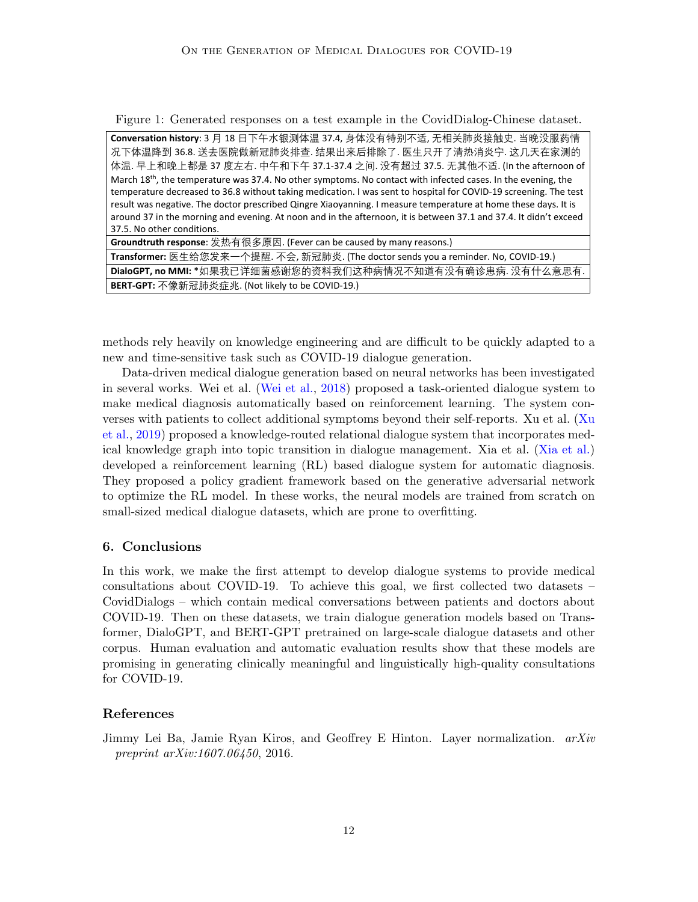Figure 1: Generated responses on a test example in the CovidDialog-Chinese dataset.

**Conversation history**: 3 月 18 日下午水银测体温 37.4, 身体没有特别不适, 无相关肺炎接触史. 当晚没服药情 况下体温降到 36.8. 送去医院做新冠肺炎排查. 结果出来后排除了. 医生只开了清热消炎宁. 这几天在家测的 体温. 早上和晚上都是 37 度左右. 中午和下午 37.1-37.4 之间. 没有超过 37.5. 无其他不适. (In the afternoon of March 18<sup>th</sup>, the temperature was 37.4. No other symptoms. No contact with infected cases. In the evening, the temperature decreased to 36.8 without taking medication. I was sent to hospital for COVID-19 screening. The test result was negative. The doctor prescribed Qingre Xiaoyanning. I measure temperature at home these days. It is around 37 in the morning and evening. At noon and in the afternoon, it is between 37.1 and 37.4. It didn't exceed 37.5. No other conditions.

| <b>Groundtruth response</b> : 发热有很多原因. (Fever can be caused by many reasons.)       |
|-------------------------------------------------------------------------------------|
| Transformer: 医生给您发来一个提醒. 不会, 新冠肺炎. (The doctor sends you a reminder. No, COVID-19.) |
| DialoGPT, no MMI: *如果我已详细菌感谢您的资料我们这种病情况不知道有没有确诊患病. 没有什么意思有.                         |
| <b>BERT-GPT:</b> 不像新冠肺炎症兆. (Not likely to be COVID-19.)                             |

methods rely heavily on knowledge engineering and are difficult to be quickly adapted to a new and time-sensitive task such as COVID-19 dialogue generation.

Data-driven medical dialogue generation based on neural networks has been investigated in several works. Wei et al. [\(Wei et al.,](#page-14-5) [2018\)](#page-14-5) proposed a task-oriented dialogue system to make medical diagnosis automatically based on reinforcement learning. The system converses with patients to collect additional symptoms beyond their self-reports. Xu et al. [\(Xu](#page-14-6) [et al.,](#page-14-6) [2019\)](#page-14-6) proposed a knowledge-routed relational dialogue system that incorporates medical knowledge graph into topic transition in dialogue management. Xia et al. [\(Xia et al.\)](#page-14-7) developed a reinforcement learning (RL) based dialogue system for automatic diagnosis. They proposed a policy gradient framework based on the generative adversarial network to optimize the RL model. In these works, the neural models are trained from scratch on small-sized medical dialogue datasets, which are prone to overfitting.

### 6. Conclusions

In this work, we make the first attempt to develop dialogue systems to provide medical consultations about COVID-19. To achieve this goal, we first collected two datasets – CovidDialogs – which contain medical conversations between patients and doctors about COVID-19. Then on these datasets, we train dialogue generation models based on Transformer, DialoGPT, and BERT-GPT pretrained on large-scale dialogue datasets and other corpus. Human evaluation and automatic evaluation results show that these models are promising in generating clinically meaningful and linguistically high-quality consultations for COVID-19.

## References

<span id="page-11-0"></span>Jimmy Lei Ba, Jamie Ryan Kiros, and Geoffrey E Hinton. Layer normalization.  $arXiv$ preprint arXiv:1607.06450, 2016.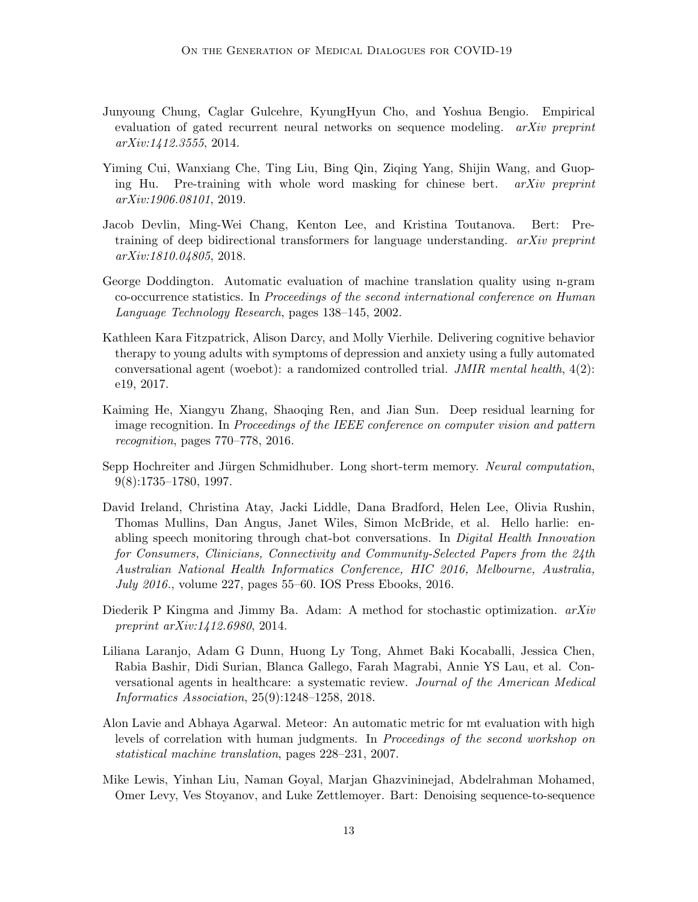- <span id="page-12-3"></span>Junyoung Chung, Caglar Gulcehre, KyungHyun Cho, and Yoshua Bengio. Empirical evaluation of gated recurrent neural networks on sequence modeling. arXiv preprint arXiv:1412.3555, 2014.
- <span id="page-12-5"></span>Yiming Cui, Wanxiang Che, Ting Liu, Bing Qin, Ziqing Yang, Shijin Wang, and Guoping Hu. Pre-training with whole word masking for chinese bert. arXiv preprint arXiv:1906.08101, 2019.
- <span id="page-12-1"></span>Jacob Devlin, Ming-Wei Chang, Kenton Lee, and Kristina Toutanova. Bert: Pretraining of deep bidirectional transformers for language understanding.  $arXiv$  preprint arXiv:1810.04805, 2018.
- <span id="page-12-7"></span>George Doddington. Automatic evaluation of machine translation quality using n-gram co-occurrence statistics. In Proceedings of the second international conference on Human Language Technology Research, pages 138–145, 2002.
- <span id="page-12-11"></span>Kathleen Kara Fitzpatrick, Alison Darcy, and Molly Vierhile. Delivering cognitive behavior therapy to young adults with symptoms of depression and anxiety using a fully automated conversational agent (woebot): a randomized controlled trial. JMIR mental health, 4(2): e19, 2017.
- <span id="page-12-4"></span>Kaiming He, Xiangyu Zhang, Shaoqing Ren, and Jian Sun. Deep residual learning for image recognition. In Proceedings of the IEEE conference on computer vision and pattern recognition, pages 770–778, 2016.
- <span id="page-12-2"></span>Sepp Hochreiter and Jürgen Schmidhuber. Long short-term memory. Neural computation, 9(8):1735–1780, 1997.
- <span id="page-12-10"></span>David Ireland, Christina Atay, Jacki Liddle, Dana Bradford, Helen Lee, Olivia Rushin, Thomas Mullins, Dan Angus, Janet Wiles, Simon McBride, et al. Hello harlie: enabling speech monitoring through chat-bot conversations. In Digital Health Innovation for Consumers, Clinicians, Connectivity and Community-Selected Papers from the 24th Australian National Health Informatics Conference, HIC 2016, Melbourne, Australia, July 2016., volume 227, pages 55–60. IOS Press Ebooks, 2016.
- <span id="page-12-6"></span>Diederik P Kingma and Jimmy Ba. Adam: A method for stochastic optimization.  $arXiv$ preprint arXiv:1412.6980, 2014.
- <span id="page-12-9"></span>Liliana Laranjo, Adam G Dunn, Huong Ly Tong, Ahmet Baki Kocaballi, Jessica Chen, Rabia Bashir, Didi Surian, Blanca Gallego, Farah Magrabi, Annie YS Lau, et al. Conversational agents in healthcare: a systematic review. Journal of the American Medical Informatics Association, 25(9):1248–1258, 2018.
- <span id="page-12-8"></span>Alon Lavie and Abhaya Agarwal. Meteor: An automatic metric for mt evaluation with high levels of correlation with human judgments. In Proceedings of the second workshop on statistical machine translation, pages 228–231, 2007.
- <span id="page-12-0"></span>Mike Lewis, Yinhan Liu, Naman Goyal, Marjan Ghazvininejad, Abdelrahman Mohamed, Omer Levy, Ves Stoyanov, and Luke Zettlemoyer. Bart: Denoising sequence-to-sequence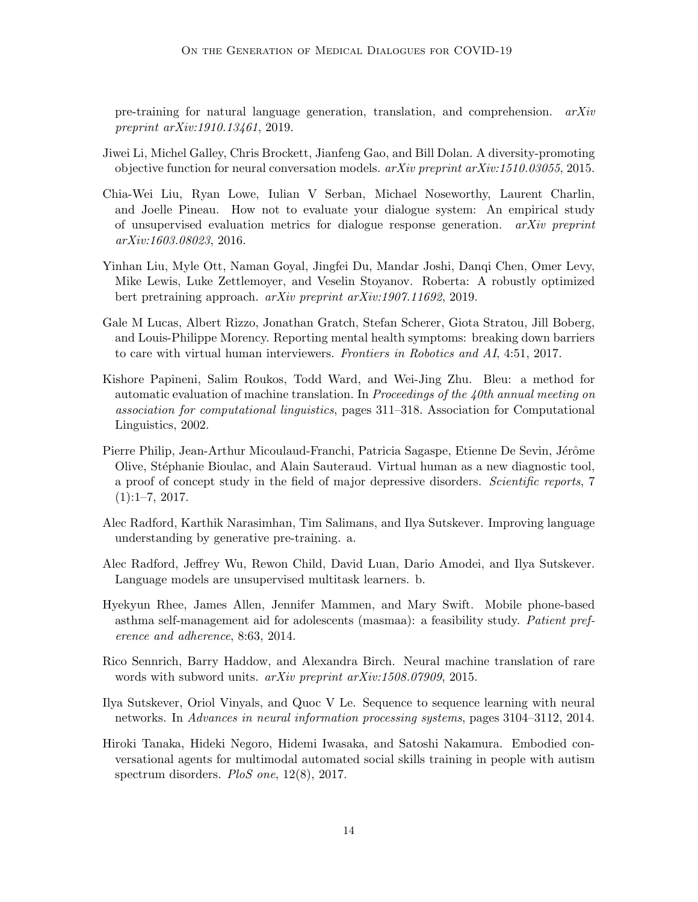pre-training for natural language generation, translation, and comprehension.  $arXiv$ preprint arXiv:1910.13461, 2019.

- <span id="page-13-4"></span>Jiwei Li, Michel Galley, Chris Brockett, Jianfeng Gao, and Bill Dolan. A diversity-promoting objective function for neural conversation models. arXiv preprint arXiv:1510.03055, 2015.
- <span id="page-13-7"></span>Chia-Wei Liu, Ryan Lowe, Iulian V Serban, Michael Noseworthy, Laurent Charlin, and Joelle Pineau. How not to evaluate your dialogue system: An empirical study of unsupervised evaluation metrics for dialogue response generation. arXiv preprint arXiv:1603.08023, 2016.
- <span id="page-13-5"></span>Yinhan Liu, Myle Ott, Naman Goyal, Jingfei Du, Mandar Joshi, Danqi Chen, Omer Levy, Mike Lewis, Luke Zettlemoyer, and Veselin Stoyanov. Roberta: A robustly optimized bert pretraining approach. arXiv preprint arXiv:1907.11692, 2019.
- <span id="page-13-8"></span>Gale M Lucas, Albert Rizzo, Jonathan Gratch, Stefan Scherer, Giota Stratou, Jill Boberg, and Louis-Philippe Morency. Reporting mental health symptoms: breaking down barriers to care with virtual human interviewers. Frontiers in Robotics and AI, 4:51, 2017.
- <span id="page-13-6"></span>Kishore Papineni, Salim Roukos, Todd Ward, and Wei-Jing Zhu. Bleu: a method for automatic evaluation of machine translation. In Proceedings of the 40th annual meeting on association for computational linguistics, pages 311–318. Association for Computational Linguistics, 2002.
- <span id="page-13-9"></span>Pierre Philip, Jean-Arthur Micoulaud-Franchi, Patricia Sagaspe, Etienne De Sevin, Jérôme Olive, St´ephanie Bioulac, and Alain Sauteraud. Virtual human as a new diagnostic tool, a proof of concept study in the field of major depressive disorders. Scientific reports, 7  $(1):1-7, 2017.$
- <span id="page-13-0"></span>Alec Radford, Karthik Narasimhan, Tim Salimans, and Ilya Sutskever. Improving language understanding by generative pre-training. a.
- <span id="page-13-2"></span>Alec Radford, Jeffrey Wu, Rewon Child, David Luan, Dario Amodei, and Ilya Sutskever. Language models are unsupervised multitask learners. b.
- <span id="page-13-11"></span>Hyekyun Rhee, James Allen, Jennifer Mammen, and Mary Swift. Mobile phone-based asthma self-management aid for adolescents (masmaa): a feasibility study. Patient preference and adherence, 8:63, 2014.
- <span id="page-13-3"></span>Rico Sennrich, Barry Haddow, and Alexandra Birch. Neural machine translation of rare words with subword units. arXiv preprint arXiv:1508.07909, 2015.
- <span id="page-13-1"></span>Ilya Sutskever, Oriol Vinyals, and Quoc V Le. Sequence to sequence learning with neural networks. In Advances in neural information processing systems, pages 3104–3112, 2014.
- <span id="page-13-10"></span>Hiroki Tanaka, Hideki Negoro, Hidemi Iwasaka, and Satoshi Nakamura. Embodied conversational agents for multimodal automated social skills training in people with autism spectrum disorders. *PloS one*, 12(8), 2017.